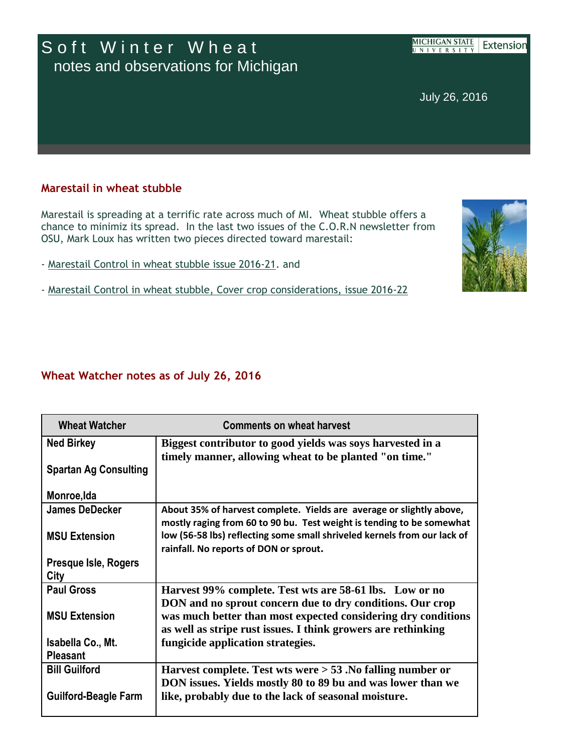## Soft Winter Wheat notes and observations for Michigan

**MICHIGAN STATE** Extensior UNIVERSITY

July 26, 2016

## **Marestail in wheat stubble**

Marestail is spreading at a terrific rate across much of MI. Wheat stubble offers a chance to minimiz its spread. In the last two issues of the C.O.R.N newsletter from OSU, Mark Loux has written two pieces directed toward marestail:

- [Marestail Control in wheat stubble issue 2016-21.](http://r20.rs6.net/tn.jsp?f=001b21_qNQDj6rO-qotyUjNGQ05WV2uFsK7TxSQSJWBPW3WEkXxg-5zHETNsxIKA2NcvysT1n_7ZRQIQPTRD5WDUuR3zwmJXfIMPpbCMRaB8hw56jaVmB3BDqmN98kYa5Qn7srtz_o9667i80sDyCQPLOW7cQgLQi52Ej_r7MQDaQaXEnkVX6KI6CUZ1T3rb28zZrqX8JQMG1Qw2oTXg7i8lVxGsyXwm2pxJgfo7VFln4CjT6bt6kqjkBjkbhJJEHpf&c=Xh39Gs_i4XnzIl_QvGlUFAyeZ6-QD1wswiTMbaxv502qSuyesQOOuw==&ch=On7QMJkRMDJzR3i44Xigr-Vz4S81zW9mQUzKhJFAa8qCGx7h_rRqmw==) and
- [Marestail Control in wheat stubble, Cover crop considerations, issue 2016-22](http://r20.rs6.net/tn.jsp?f=001b21_qNQDj6rO-qotyUjNGQ05WV2uFsK7TxSQSJWBPW3WEkXxg-5zHETNsxIKA2NcA-TbMqHoN2v0HubQrcngP-MGAWj4_Ox3L8YUW4FtADD67F_4vkbETX18XRw6Lmoso1W18c6iOu9XxXQ1WMoSFL2Vm76wdBkUEueL81ZpfcVGUsSRDT4xmcrl5Am-aWVxGeC1k1YjSLNZhvk5lKJT_KEQX6xu7l3_wwPRZ5b6Vq1ChBBn9uCf4IH1mP5qfKuqn2BMGl2Qbt4581uz9MLftQPs-YsxseQlQot0OSBhTUM=&c=Xh39Gs_i4XnzIl_QvGlUFAyeZ6-QD1wswiTMbaxv502qSuyesQOOuw==&ch=On7QMJkRMDJzR3i44Xigr-Vz4S81zW9mQUzKhJFAa8qCGx7h_rRqmw==)

## **Wheat Watcher notes as of July 26, 2016**

| <b>Wheat Watcher</b>         | <b>Comments on wheat harvest</b>                                         |
|------------------------------|--------------------------------------------------------------------------|
| <b>Ned Birkey</b>            | Biggest contributor to good yields was soys harvested in a               |
| <b>Spartan Ag Consulting</b> | timely manner, allowing wheat to be planted "on time."                   |
| Monroe, Ida                  |                                                                          |
| <b>James DeDecker</b>        | About 35% of harvest complete. Yields are average or slightly above,     |
|                              | mostly raging from 60 to 90 bu. Test weight is tending to be somewhat    |
| <b>MSU Extension</b>         | low (56-58 lbs) reflecting some small shriveled kernels from our lack of |
| <b>Presque Isle, Rogers</b>  | rainfall. No reports of DON or sprout.                                   |
| City                         |                                                                          |
| <b>Paul Gross</b>            | Harvest 99% complete. Test wts are 58-61 lbs. Low or no                  |
|                              | DON and no sprout concern due to dry conditions. Our crop                |
| <b>MSU Extension</b>         | was much better than most expected considering dry conditions            |
|                              | as well as stripe rust issues. I think growers are rethinking            |
| Isabella Co., Mt.            | fungicide application strategies.                                        |
| <b>Pleasant</b>              |                                                                          |
| <b>Bill Guilford</b>         | Harvest complete. Test wts were $> 53$ . No falling number or            |
|                              | DON issues. Yields mostly 80 to 89 bu and was lower than we              |
| <b>Guilford-Beagle Farm</b>  | like, probably due to the lack of seasonal moisture.                     |
|                              |                                                                          |

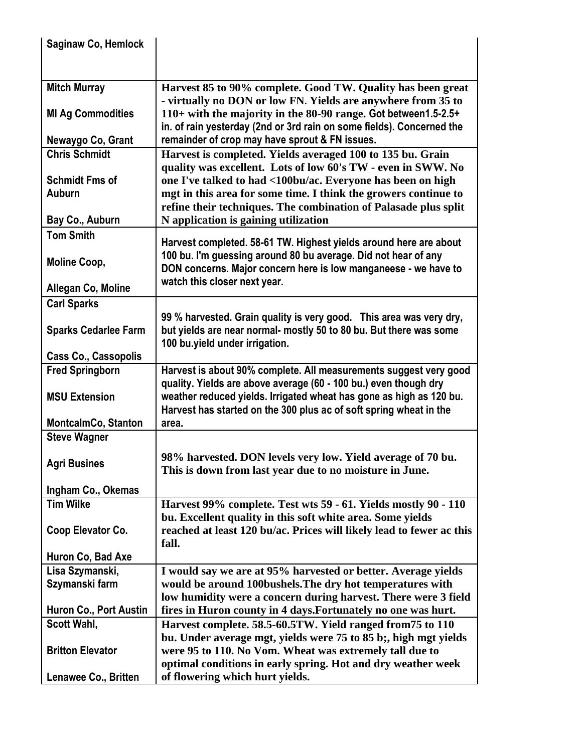| <b>Saginaw Co, Hemlock</b>  |                                                                                                                                           |
|-----------------------------|-------------------------------------------------------------------------------------------------------------------------------------------|
|                             |                                                                                                                                           |
|                             |                                                                                                                                           |
| <b>Mitch Murray</b>         | Harvest 85 to 90% complete. Good TW. Quality has been great<br>- virtually no DON or low FN. Yields are anywhere from 35 to               |
| <b>MI Ag Commodities</b>    | 110+ with the majority in the 80-90 range. Got between1.5-2.5+                                                                            |
|                             | in. of rain yesterday (2nd or 3rd rain on some fields). Concerned the                                                                     |
| Newaygo Co, Grant           | remainder of crop may have sprout & FN issues.                                                                                            |
| <b>Chris Schmidt</b>        | Harvest is completed. Yields averaged 100 to 135 bu. Grain                                                                                |
|                             | quality was excellent. Lots of low 60's TW - even in SWW. No                                                                              |
| <b>Schmidt Fms of</b>       | one I've talked to had <100bu/ac. Everyone has been on high                                                                               |
| Auburn                      | mgt in this area for some time. I think the growers continue to                                                                           |
|                             | refine their techniques. The combination of Palasade plus split                                                                           |
| Bay Co., Auburn             | N application is gaining utilization                                                                                                      |
| <b>Tom Smith</b>            | Harvest completed. 58-61 TW. Highest yields around here are about                                                                         |
| Moline Coop,                | 100 bu. I'm guessing around 80 bu average. Did not hear of any                                                                            |
|                             | DON concerns. Major concern here is low manganeese - we have to                                                                           |
| Allegan Co, Moline          | watch this closer next year.                                                                                                              |
| <b>Carl Sparks</b>          |                                                                                                                                           |
|                             | 99 % harvested. Grain quality is very good. This area was very dry,                                                                       |
| <b>Sparks Cedarlee Farm</b> | but yields are near normal- mostly 50 to 80 bu. But there was some                                                                        |
|                             | 100 bu.yield under irrigation.                                                                                                            |
| <b>Cass Co., Cassopolis</b> |                                                                                                                                           |
| <b>Fred Springborn</b>      | Harvest is about 90% complete. All measurements suggest very good                                                                         |
|                             | quality. Yields are above average (60 - 100 bu.) even though dry                                                                          |
| <b>MSU Extension</b>        | weather reduced yields. Irrigated wheat has gone as high as 120 bu.<br>Harvest has started on the 300 plus ac of soft spring wheat in the |
| <b>MontcalmCo, Stanton</b>  | area.                                                                                                                                     |
| <b>Steve Wagner</b>         |                                                                                                                                           |
|                             |                                                                                                                                           |
| <b>Agri Busines</b>         | 98% harvested. DON levels very low. Yield average of 70 bu.<br>This is down from last year due to no moisture in June.                    |
|                             |                                                                                                                                           |
| Ingham Co., Okemas          |                                                                                                                                           |
| <b>Tim Wilke</b>            | Harvest 99% complete. Test wts 59 - 61. Yields mostly 90 - 110                                                                            |
|                             | bu. Excellent quality in this soft white area. Some yields<br>reached at least 120 bu/ac. Prices will likely lead to fewer ac this        |
| Coop Elevator Co.           | fall.                                                                                                                                     |
| Huron Co, Bad Axe           |                                                                                                                                           |
| Lisa Szymanski,             | I would say we are at 95% harvested or better. Average yields                                                                             |
| Szymanski farm              | would be around 100bushels. The dry hot temperatures with                                                                                 |
|                             | low humidity were a concern during harvest. There were 3 field                                                                            |
| Huron Co., Port Austin      | fires in Huron county in 4 days. Fortunately no one was hurt.                                                                             |
| Scott Wahl,                 | Harvest complete. 58.5-60.5TW. Yield ranged from 75 to 110                                                                                |
|                             | bu. Under average mgt, yields were 75 to 85 b;, high mgt yields                                                                           |
| <b>Britton Elevator</b>     | were 95 to 110. No Vom. Wheat was extremely tall due to<br>optimal conditions in early spring. Hot and dry weather week                   |
| Lenawee Co., Britten        | of flowering which hurt yields.                                                                                                           |
|                             |                                                                                                                                           |